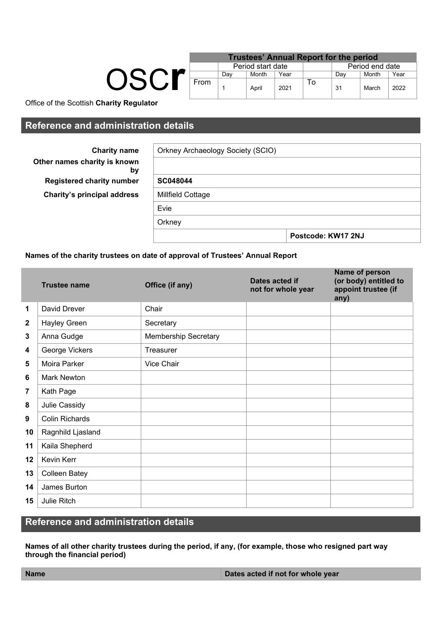|  | <b>Trustees' Annual Report for the period</b> |     |                   |      |     |                 |       |      |  |
|--|-----------------------------------------------|-----|-------------------|------|-----|-----------------|-------|------|--|
|  |                                               |     | Period start date |      |     | Period end date |       |      |  |
|  |                                               | Dav | Month             | Year | Dav |                 | Month | Year |  |
|  | From                                          |     | April             | 2021 | ۱o  | 31              | March | 2022 |  |

Office of the Scottish **Charity Regulator**

## **Reference and administration details**

| <b>Charity name</b>                | Orkney Archaeology Society (SCIO) |                    |  |  |  |  |  |  |
|------------------------------------|-----------------------------------|--------------------|--|--|--|--|--|--|
| Other names charity is known<br>by |                                   |                    |  |  |  |  |  |  |
| <b>Registered charity number</b>   | SC048044                          |                    |  |  |  |  |  |  |
| <b>Charity's principal address</b> | <b>Millfield Cottage</b>          |                    |  |  |  |  |  |  |
|                                    | Evie                              |                    |  |  |  |  |  |  |
|                                    | Orkney                            |                    |  |  |  |  |  |  |
|                                    |                                   | Postcode: KW17 2NJ |  |  |  |  |  |  |

### **Names of the charity trustees on date of approval of Trustees' Annual Report**

|                      | <b>Trustee name</b>   | Office (if any)             | Dates acted if<br>not for whole year | Name of person<br>(or body) entitled to<br>appoint trustee (if<br>any) |
|----------------------|-----------------------|-----------------------------|--------------------------------------|------------------------------------------------------------------------|
| $\blacktriangleleft$ | David Drever          | Chair                       |                                      |                                                                        |
| $\mathbf{2}$         | <b>Hayley Green</b>   | Secretary                   |                                      |                                                                        |
| $\mathbf{3}$         | Anna Gudge            | <b>Membership Secretary</b> |                                      |                                                                        |
| 4                    | George Vickers        | Treasurer                   |                                      |                                                                        |
| 5                    | Moira Parker          | Vice Chair                  |                                      |                                                                        |
| 6                    | <b>Mark Newton</b>    |                             |                                      |                                                                        |
| 7                    | Kath Page             |                             |                                      |                                                                        |
| 8                    | Julie Cassidy         |                             |                                      |                                                                        |
| 9                    | <b>Colin Richards</b> |                             |                                      |                                                                        |
| 10                   | Ragnhild Ljasland     |                             |                                      |                                                                        |
| 11                   | Kaila Shepherd        |                             |                                      |                                                                        |
| 12                   | Kevin Kerr            |                             |                                      |                                                                        |
| 13                   | <b>Colleen Batey</b>  |                             |                                      |                                                                        |
| 14                   | James Burton          |                             |                                      |                                                                        |
| 15                   | Julie Ritch           |                             |                                      |                                                                        |

# **Reference and administration details**

**Names of all other charity trustees during the period, if any, (for example, those who resigned part way through the financial period)**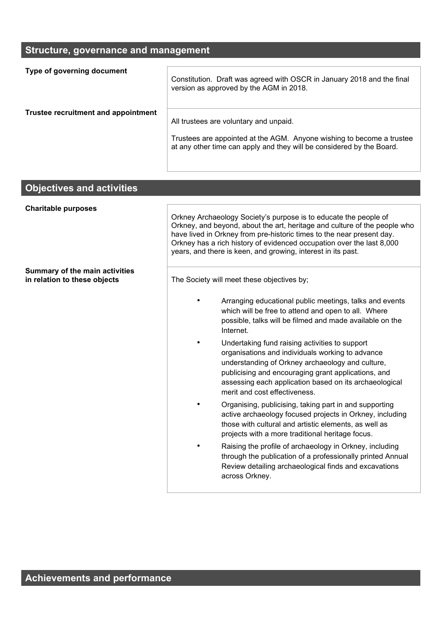### **Structure, governance and management**

| Type of governing document          | Constitution. Draft was agreed with OSCR in January 2018 and the final<br>version as approved by the AGM in 2018.                                                                        |
|-------------------------------------|------------------------------------------------------------------------------------------------------------------------------------------------------------------------------------------|
| Trustee recruitment and appointment | All trustees are voluntary and unpaid.<br>Trustees are appointed at the AGM. Anyone wishing to become a trustee<br>at any other time can apply and they will be considered by the Board. |

### **Objectives and activities**

**Summary of the main activities** 

**Charitable purposes**

Orkney Archaeology Society's purpose is to educate the people of Orkney, and beyond, about the art, heritage and culture of the people who have lived in Orkney from pre-historic times to the near present day. Orkney has a rich history of evidenced occupation over the last 8,000 years, and there is keen, and growing, interest in its past.

The Society will meet these objectives by;

- Arranging educational public meetings, talks and events which will be free to attend and open to all. Where possible, talks will be filmed and made available on the Internet.
- Undertaking fund raising activities to support organisations and individuals working to advance understanding of Orkney archaeology and culture, publicising and encouraging grant applications, and assessing each application based on its archaeological merit and cost effectiveness.
- Organising, publicising, taking part in and supporting active archaeology focused projects in Orkney, including those with cultural and artistic elements, as well as projects with a more traditional heritage focus.
- Raising the profile of archaeology in Orkney, including through the publication of a professionally printed Annual Review detailing archaeological finds and excavations across Orkney.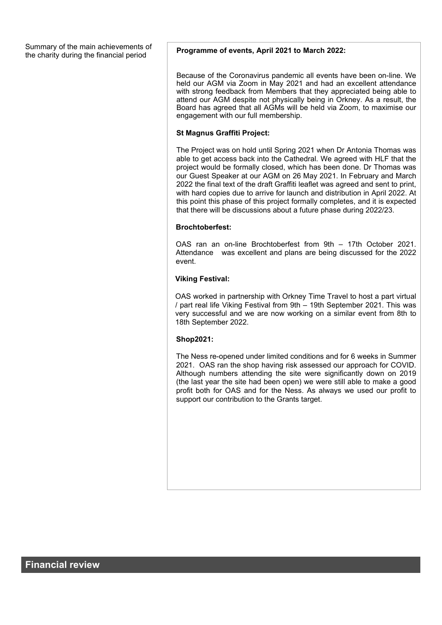Summary of the main achievements of the charity during the financial period **Programme of events, April 2021 to March 2022:** 

Because of the Coronavirus pandemic all events have been on-line. We held our AGM via Zoom in May 2021 and had an excellent attendance with strong feedback from Members that they appreciated being able to attend our AGM despite not physically being in Orkney. As a result, the Board has agreed that all AGMs will be held via Zoom, to maximise our engagement with our full membership.

#### **St Magnus Graffiti Project:**

The Project was on hold until Spring 2021 when Dr Antonia Thomas was able to get access back into the Cathedral. We agreed with HLF that the project would be formally closed, which has been done. Dr Thomas was our Guest Speaker at our AGM on 26 May 2021. In February and March 2022 the final text of the draft Graffiti leaflet was agreed and sent to print, with hard copies due to arrive for launch and distribution in April 2022. At this point this phase of this project formally completes, and it is expected that there will be discussions about a future phase during 2022/23.

#### **Brochtoberfest:**

OAS ran an on-line Brochtoberfest from 9th – 17th October 2021. Attendance was excellent and plans are being discussed for the 2022 event.

#### **Viking Festival:**

OAS worked in partnership with Orkney Time Travel to host a part virtual / part real life Viking Festival from 9th – 19th September 2021. This was very successful and we are now working on a similar event from 8th to 18th September 2022.

#### **Shop2021:**

The Ness re-opened under limited conditions and for 6 weeks in Summer 2021. OAS ran the shop having risk assessed our approach for COVID. Although numbers attending the site were significantly down on 2019 (the last year the site had been open) we were still able to make a good profit both for OAS and for the Ness. As always we used our profit to support our contribution to the Grants target.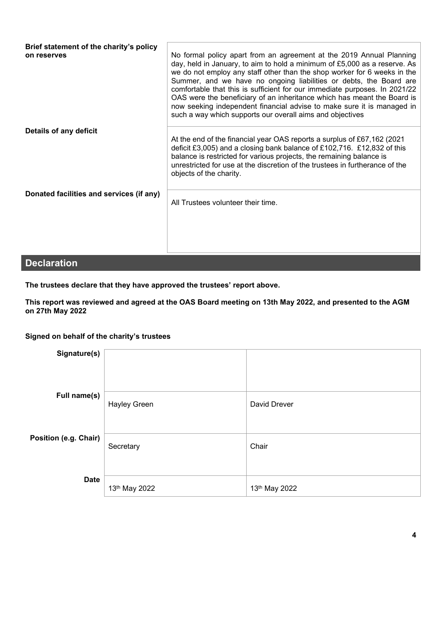| Brief statement of the charity's policy<br>on reserves | No formal policy apart from an agreement at the 2019 Annual Planning<br>day, held in January, to aim to hold a minimum of £5,000 as a reserve. As<br>we do not employ any staff other than the shop worker for 6 weeks in the<br>Summer, and we have no ongoing liabilities or debts, the Board are<br>comfortable that this is sufficient for our immediate purposes. In 2021/22<br>OAS were the beneficiary of an inheritance which has meant the Board is<br>now seeking independent financial advise to make sure it is managed in<br>such a way which supports our overall aims and objectives |
|--------------------------------------------------------|-----------------------------------------------------------------------------------------------------------------------------------------------------------------------------------------------------------------------------------------------------------------------------------------------------------------------------------------------------------------------------------------------------------------------------------------------------------------------------------------------------------------------------------------------------------------------------------------------------|
| Details of any deficit                                 | At the end of the financial year OAS reports a surplus of £67,162 (2021)<br>deficit £3,005) and a closing bank balance of £102,716. £12,832 of this<br>balance is restricted for various projects, the remaining balance is<br>unrestricted for use at the discretion of the trustees in furtherance of the<br>objects of the charity.                                                                                                                                                                                                                                                              |
| Donated facilities and services (if any)               | All Trustees volunteer their time.                                                                                                                                                                                                                                                                                                                                                                                                                                                                                                                                                                  |
| <b>Declaration</b>                                     |                                                                                                                                                                                                                                                                                                                                                                                                                                                                                                                                                                                                     |

**The trustees declare that they have approved the trustees' report above.** 

**This report was reviewed and agreed at the OAS Board meeting on 13th May 2022, and presented to the AGM on 27th May 2022**

**Signed on behalf of the charity's trustees**

| Signature(s)          |                     |               |
|-----------------------|---------------------|---------------|
| Full name(s)          | <b>Hayley Green</b> | David Drever  |
| Position (e.g. Chair) | Secretary           | Chair         |
| <b>Date</b>           | 13th May 2022       | 13th May 2022 |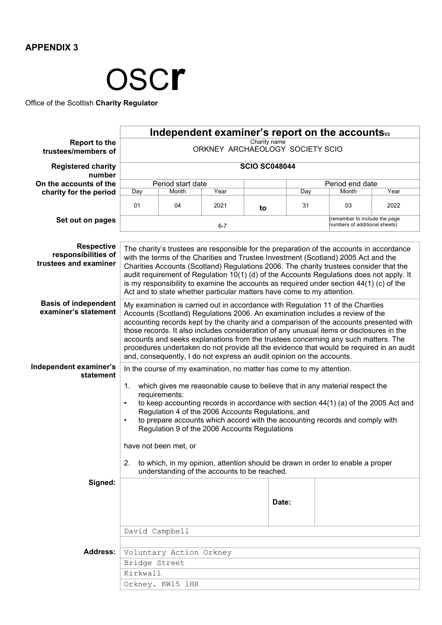

Office of the Scottish **Charity Regulator**

|                                                                   |                                                                                                                                                                                                                                                                                                                                                                                                                                                                                                                                                                                                                   |                                                                                                                                                                                                                                                                                                                                                                                                                                                                                                                                             |                                              |    |       | Independent examiner's report on the accounts <sub>v2</sub>                    |      |  |  |  |
|-------------------------------------------------------------------|-------------------------------------------------------------------------------------------------------------------------------------------------------------------------------------------------------------------------------------------------------------------------------------------------------------------------------------------------------------------------------------------------------------------------------------------------------------------------------------------------------------------------------------------------------------------------------------------------------------------|---------------------------------------------------------------------------------------------------------------------------------------------------------------------------------------------------------------------------------------------------------------------------------------------------------------------------------------------------------------------------------------------------------------------------------------------------------------------------------------------------------------------------------------------|----------------------------------------------|----|-------|--------------------------------------------------------------------------------|------|--|--|--|
| <b>Report to the</b><br>trustees/members of                       | Charity name<br>ORKNEY ARCHAEOLOGY SOCIETY SCIO                                                                                                                                                                                                                                                                                                                                                                                                                                                                                                                                                                   |                                                                                                                                                                                                                                                                                                                                                                                                                                                                                                                                             |                                              |    |       |                                                                                |      |  |  |  |
| <b>Registered charity</b><br>number                               | <b>SCIO SC048044</b>                                                                                                                                                                                                                                                                                                                                                                                                                                                                                                                                                                                              |                                                                                                                                                                                                                                                                                                                                                                                                                                                                                                                                             |                                              |    |       |                                                                                |      |  |  |  |
| On the accounts of the                                            |                                                                                                                                                                                                                                                                                                                                                                                                                                                                                                                                                                                                                   | Period start date                                                                                                                                                                                                                                                                                                                                                                                                                                                                                                                           |                                              |    |       | Period end date                                                                |      |  |  |  |
| charity for the period                                            | Day                                                                                                                                                                                                                                                                                                                                                                                                                                                                                                                                                                                                               | Month                                                                                                                                                                                                                                                                                                                                                                                                                                                                                                                                       | Year                                         |    | Day   | Month<br>Year                                                                  |      |  |  |  |
|                                                                   | 01                                                                                                                                                                                                                                                                                                                                                                                                                                                                                                                                                                                                                | 04                                                                                                                                                                                                                                                                                                                                                                                                                                                                                                                                          | 2021                                         | to | 31    | 03                                                                             | 2022 |  |  |  |
| Set out on pages                                                  |                                                                                                                                                                                                                                                                                                                                                                                                                                                                                                                                                                                                                   |                                                                                                                                                                                                                                                                                                                                                                                                                                                                                                                                             | $6 - 7$                                      |    |       | (remember to include the page<br>numbers of additional sheets)                 |      |  |  |  |
| <b>Respective</b><br>responsibilities of<br>trustees and examiner |                                                                                                                                                                                                                                                                                                                                                                                                                                                                                                                                                                                                                   | The charity's trustees are responsible for the preparation of the accounts in accordance<br>with the terms of the Charities and Trustee Investment (Scotland) 2005 Act and the<br>Charities Accounts (Scotland) Regulations 2006. The charity trustees consider that the<br>audit requirement of Regulation 10(1) (d) of the Accounts Regulations does not apply. It<br>is my responsibility to examine the accounts as required under section $44(1)$ (c) of the<br>Act and to state whether particular matters have come to my attention. |                                              |    |       |                                                                                |      |  |  |  |
| <b>Basis of independent</b><br>examiner's statement               | My examination is carried out in accordance with Regulation 11 of the Charities<br>Accounts (Scotland) Regulations 2006. An examination includes a review of the<br>accounting records kept by the charity and a comparison of the accounts presented with<br>those records. It also includes consideration of any unusual items or disclosures in the<br>accounts and seeks explanations from the trustees concerning any such matters. The<br>procedures undertaken do not provide all the evidence that would be required in an audit<br>and, consequently, I do not express an audit opinion on the accounts. |                                                                                                                                                                                                                                                                                                                                                                                                                                                                                                                                             |                                              |    |       |                                                                                |      |  |  |  |
| Independent examiner's<br>statement                               | In the course of my examination, no matter has come to my attention.<br>$\mathbf{1}$ .<br>which gives me reasonable cause to believe that in any material respect the<br>requirements:<br>to keep accounting records in accordance with section $44(1)$ (a) of the 2005 Act and<br>$\bullet$<br>Regulation 4 of the 2006 Accounts Regulations, and<br>to prepare accounts which accord with the accounting records and comply with<br>$\bullet$<br>Regulation 9 of the 2006 Accounts Regulations                                                                                                                  |                                                                                                                                                                                                                                                                                                                                                                                                                                                                                                                                             |                                              |    |       |                                                                                |      |  |  |  |
|                                                                   | 2.                                                                                                                                                                                                                                                                                                                                                                                                                                                                                                                                                                                                                | have not been met, or                                                                                                                                                                                                                                                                                                                                                                                                                                                                                                                       |                                              |    |       | to which, in my opinion, attention should be drawn in order to enable a proper |      |  |  |  |
|                                                                   |                                                                                                                                                                                                                                                                                                                                                                                                                                                                                                                                                                                                                   |                                                                                                                                                                                                                                                                                                                                                                                                                                                                                                                                             | understanding of the accounts to be reached. |    |       |                                                                                |      |  |  |  |
| Signed:                                                           |                                                                                                                                                                                                                                                                                                                                                                                                                                                                                                                                                                                                                   |                                                                                                                                                                                                                                                                                                                                                                                                                                                                                                                                             |                                              |    | Date: |                                                                                |      |  |  |  |
|                                                                   | David Campbell                                                                                                                                                                                                                                                                                                                                                                                                                                                                                                                                                                                                    |                                                                                                                                                                                                                                                                                                                                                                                                                                                                                                                                             |                                              |    |       |                                                                                |      |  |  |  |
| Address:                                                          |                                                                                                                                                                                                                                                                                                                                                                                                                                                                                                                                                                                                                   | Voluntary Action Orkney                                                                                                                                                                                                                                                                                                                                                                                                                                                                                                                     |                                              |    |       |                                                                                |      |  |  |  |
|                                                                   | Bridge Street                                                                                                                                                                                                                                                                                                                                                                                                                                                                                                                                                                                                     |                                                                                                                                                                                                                                                                                                                                                                                                                                                                                                                                             |                                              |    |       |                                                                                |      |  |  |  |
|                                                                   | Kirkwall                                                                                                                                                                                                                                                                                                                                                                                                                                                                                                                                                                                                          |                                                                                                                                                                                                                                                                                                                                                                                                                                                                                                                                             |                                              |    |       |                                                                                |      |  |  |  |
|                                                                   |                                                                                                                                                                                                                                                                                                                                                                                                                                                                                                                                                                                                                   | Orkney. KW15 1HR                                                                                                                                                                                                                                                                                                                                                                                                                                                                                                                            |                                              |    |       |                                                                                |      |  |  |  |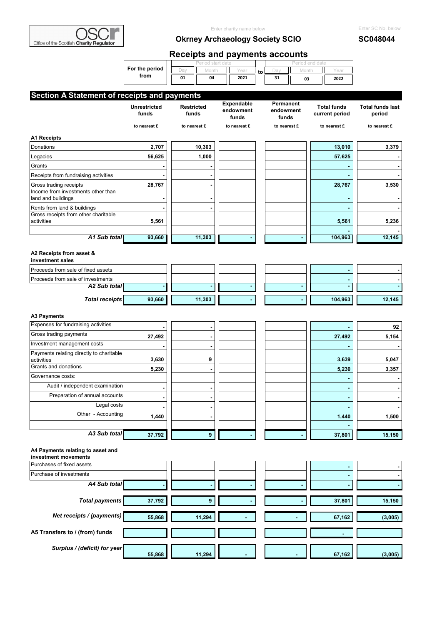

| Office of the Scottish Charity Regulator                 | Enter charity name below<br><b>Okrney Archaeology Society SCIO</b> |                                               |                                  |    |                                 |                                      | Enter SC No. below<br>SC048044    |
|----------------------------------------------------------|--------------------------------------------------------------------|-----------------------------------------------|----------------------------------|----|---------------------------------|--------------------------------------|-----------------------------------|
|                                                          |                                                                    | <b>Receipts and payments accounts</b>         |                                  |    |                                 |                                      |                                   |
|                                                          | For the period<br>from                                             | Period start date<br>Dav<br>Month<br>01<br>04 | Year<br>2021                     | to | Month<br>Day<br>31<br>03        | Period end date<br>Year<br>2022      |                                   |
| Section A Statement of receipts and payments             |                                                                    |                                               |                                  |    |                                 |                                      |                                   |
|                                                          | <b>Unrestricted</b><br>funds                                       | <b>Restricted</b><br>funds                    | Expendable<br>endowment<br>funds |    | Permanent<br>endowment<br>funds | <b>Total funds</b><br>current period | <b>Total funds last</b><br>period |
|                                                          | to nearest £                                                       | to nearest £                                  | to nearest £                     |    | to nearest £                    | to nearest £                         | to nearest £                      |
| <b>A1 Receipts</b>                                       |                                                                    |                                               |                                  |    |                                 |                                      |                                   |
| Donations                                                | 2,707                                                              | 10,303                                        |                                  |    |                                 | 13,010                               | 3,379                             |
| Legacies                                                 | 56,625                                                             | 1,000                                         |                                  |    |                                 | 57,625                               |                                   |
| Grants                                                   |                                                                    |                                               |                                  |    |                                 |                                      |                                   |
| Receipts from fundraising activities                     |                                                                    |                                               |                                  |    |                                 |                                      |                                   |
| Gross trading receipts                                   | 28,767                                                             | $\blacksquare$                                |                                  |    |                                 | 28,767                               | 3,530                             |
| Income from investments other than<br>land and buildings |                                                                    |                                               |                                  |    |                                 |                                      |                                   |
| Rents from land & buildings                              |                                                                    |                                               |                                  |    |                                 |                                      |                                   |
| Gross receipts from other charitable<br>activities       | 5,561                                                              |                                               |                                  |    |                                 | 5,561                                | 5,236                             |
| A1 Sub total                                             | 93,660                                                             | 11,303                                        |                                  |    |                                 | 104,963                              | 12,145                            |
| A2 Receipts from asset &<br>investment sales             |                                                                    |                                               |                                  |    |                                 |                                      |                                   |
| Proceeds from sale of fixed assets                       |                                                                    |                                               |                                  |    |                                 |                                      |                                   |
| Proceeds from sale of investments<br>A2 Sub total        |                                                                    | ä,                                            | ٠                                |    |                                 |                                      |                                   |
| <b>Total receipts</b>                                    | 93,660                                                             | 11,303                                        |                                  |    |                                 | 104,963                              | 12,145                            |
|                                                          |                                                                    |                                               |                                  |    |                                 |                                      |                                   |
| <b>A3 Payments</b>                                       |                                                                    |                                               |                                  |    |                                 |                                      |                                   |
| Expenses for fundraising activities                      |                                                                    | $\blacksquare$                                |                                  |    |                                 |                                      | 92                                |
| Gross trading payments                                   | 27,492                                                             |                                               |                                  |    |                                 | 27,492                               | 5,154                             |
| Investment management costs                              |                                                                    |                                               |                                  |    |                                 |                                      |                                   |

| total<br>Δ΄<br>A3 Sub<br>____ | 37,792 |  |  | 37,801 | 15,150 |
|-------------------------------|--------|--|--|--------|--------|

Payments relating directly to charitable

#### **A4 Payments relating to asset and**

| investment movements           |        |                |        |        |                |         |
|--------------------------------|--------|----------------|--------|--------|----------------|---------|
| Purchases of fixed assets      |        |                |        |        | $\blacksquare$ |         |
| Purchase of investments        |        |                |        |        | $\blacksquare$ |         |
| A4 Sub total                   |        | $\blacksquare$ |        |        | $\blacksquare$ |         |
|                                |        |                |        |        |                |         |
| <b>Total payments</b>          | 37,792 | 9              |        |        | 37,801         | 15,150  |
|                                |        |                |        |        |                |         |
| Net receipts / (payments)      | 55,868 | 11,294         |        |        | 67,162         | (3,005) |
|                                |        |                |        |        |                |         |
| A5 Transfers to / (from) funds |        |                |        |        |                |         |
|                                |        |                |        |        |                |         |
| Surplus / (deficit) for year   | 55,868 | 11,294         | $\sim$ | $\sim$ | 67,162         | (3,005) |

activities | 3,630 | | 9 | | | | | | 3,639 | 5,047 Grants and donations <sub>5,230</sub> | 5,230 | 3,357 Governance costs: **- -**  Audit / independent examination<br> **Audit / independent examination** Preparation of annual accounts<br> **Example 2018** 

> Legal costs **- - - -**  Other - Accounting **1,440** | 1,440 | 1,500 **1,600 1,600 1,600**

> > **-**